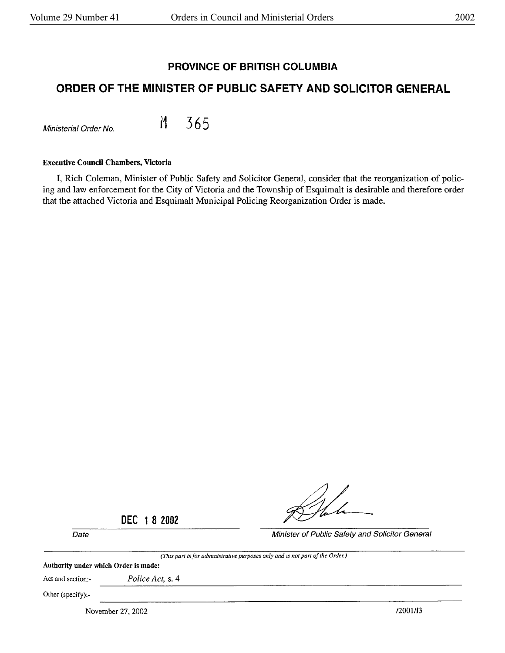## **PROVINCE OF BRITISH COLUMBIA**

# **ORDER OF THE MINISTER OF PUBLIC SAFETY AND SOLICITOR GENERAL**

Ministerial Order No. **M 365** 

#### **Executive Council Chambers, Victoria**

I, Rich Coleman, Minister of Public Safety and Solicitor General, consider that the reorganization of policing and law enforcement for the City of Victoria and the Township of Esquimalt is desirable and therefore order that the attached Victoria and Esquimalt Municipal Policing Reorganization Order is made.

Date Minister of Public Safety and Solicitor General

**DEC 1 8 2002** 

*(This part is for adrmnistrot,ve purposes only and* 1s *not par<sup>t</sup>of the Order.)*  Authority under which Order is made: Act and section:- *Police Act,* s. 4 Other (specify):- November 27, 2002 /2001/13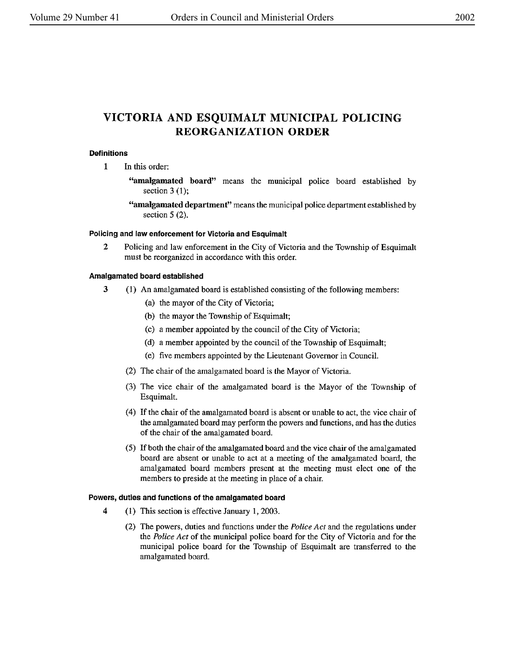# **VICTORIA AND ESQUIMALT MUNICIPAL POLICING REORGANIZATION ORDER**

### **Definitions**

- **1** In this order:
	- **''amalgamated board"** means the municipal police board established by section  $3(1)$ ;
	- **''amalgamated department''** means the municipal police department established by section 5 (2).

#### **Policing and law enforcement for Victoria and Esquimalt**

2 Policing and law enforcement in the City of Victoria and the Township of Esquimalt must be reorganized in accordance with this order.

### **Amalgamated board established**

- 3 (1) An amalgamated board is established consisting of the following members:
	- (a) the mayor of the City of Victoria;
	- (b) the mayor the Township of Esquimalt;
	- (c) a member appointed by the council of the City of Victoria;
	- (d) a member appointed by the council of the Township of Esquimalt;
	- (e) five members appointed by the Lieutenant Governor in Council.
	- (2) The chair of the amalgamated board is the Mayor of Victoria.
	- (3) The vice chair of the amalgamated board is the Mayor of the Township of Esquimalt.
	- ( 4) If the chair of the amalgamated board is absent or unable to act, the vice chair of the amalgamated board may perform the powers and functions, and has the duties of the chair of the amalgamated board.
	- (5) If both the chair of the amalgamated board and the vice chair of the amalgamated board are absent or unable to act at a meeting of the amalgamated board, the amalgamated board members present at the meeting must elect one of the members to preside at the meeting in place of a chair.

### **Powers, duties and functions of the amalgamated board**

- **4** (1) This section is effective January **1,** 2003.
	- (2) The powers, duties and functions under the *Police Act* and the regulations under the *Police Act* of the municipal police board for the City of Victoria and for the municipal police board for the Township of Esquimalt are transferred to the amalgamated board.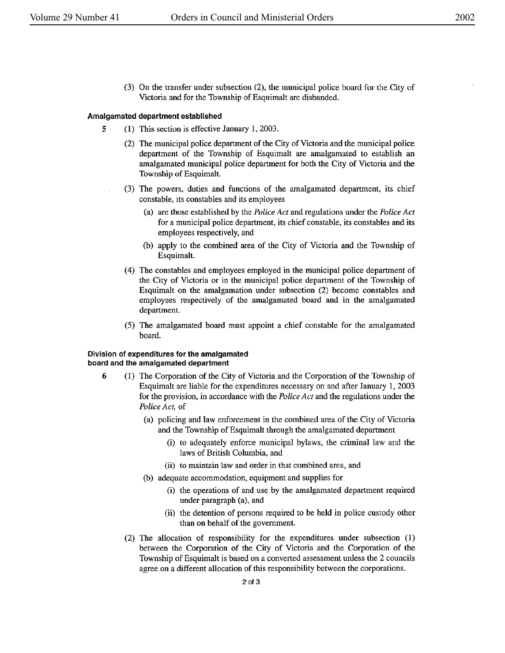(3) On the transfer under subsection (2). the municipal police board for the City of Victoria and for the Township of Esquimalt are disbanded.

#### **Amalgamated department established**

- 5 (1) This section is effective January 1, 2003.
	- (2) The municipal police department of the City of Victoria and the municipal police department of the Township of Esquimalt are amalgamated to establish an amalgamated municipal police department for both the City of Victoria and the Township of Esquimalt.
	- (3) The powers, duties and functions of the amalgamated department, its chief constable, its constables and its employees
		- (a) are those established by the *Police Act* and regulations under the *Police Act*  for a municipal police department, its chief constable, its constables and its employees respectively, and
		- (b) apply to the combined area of the City of Victoria and the Township of Esquimalt.
		- ( 4) The constables and employees employed in the municipal police department of the City of Victoria or in the municipal police department of the Township of Esquimalt on the amalgamation under subsection (2) become constables and employees respectively of the amalgamated board and in the amalgamated department.
		- (5) The amalgamated board must appoint a chief constable for the amalgamated board.

#### **Division of expenditures for the amalgamated board and the amalgamated department**

- **6** (1) The Corporation of the City of Victoria and the Corporation of the Township of Esquimalt are liable for the expenditures necessary on and after January 1, 2003 for the provision, in accordance with the *Police Act* and the regulations under the *Police Act,* of
	- (a) policing and law enforcement in the combined area of the City of Victoria and the Township of Esquimalt through the amalgamated department
		- (i) to adequately enforce municipal bylaws, the criminal law and the laws of British Columbia, and
		- (ii) to maintain law and order in that combined area, and
	- (b) adequate accommodation, equipment and supplies for
		- (i) the operations of and use by the amalgamated department required under paragraph (a), and
		- (ii) the detention of persons required to be held in police custody other than on behalf of the government.
	- (2) The allocation of responsibility for the expenditures under subsection ( 1) between the Corporation of the City of Victoria and the Corporation of the Township of Esquimalt is based on a converted assessment unless the 2 councils agree on a different allocation of this responsibility between the corporations.